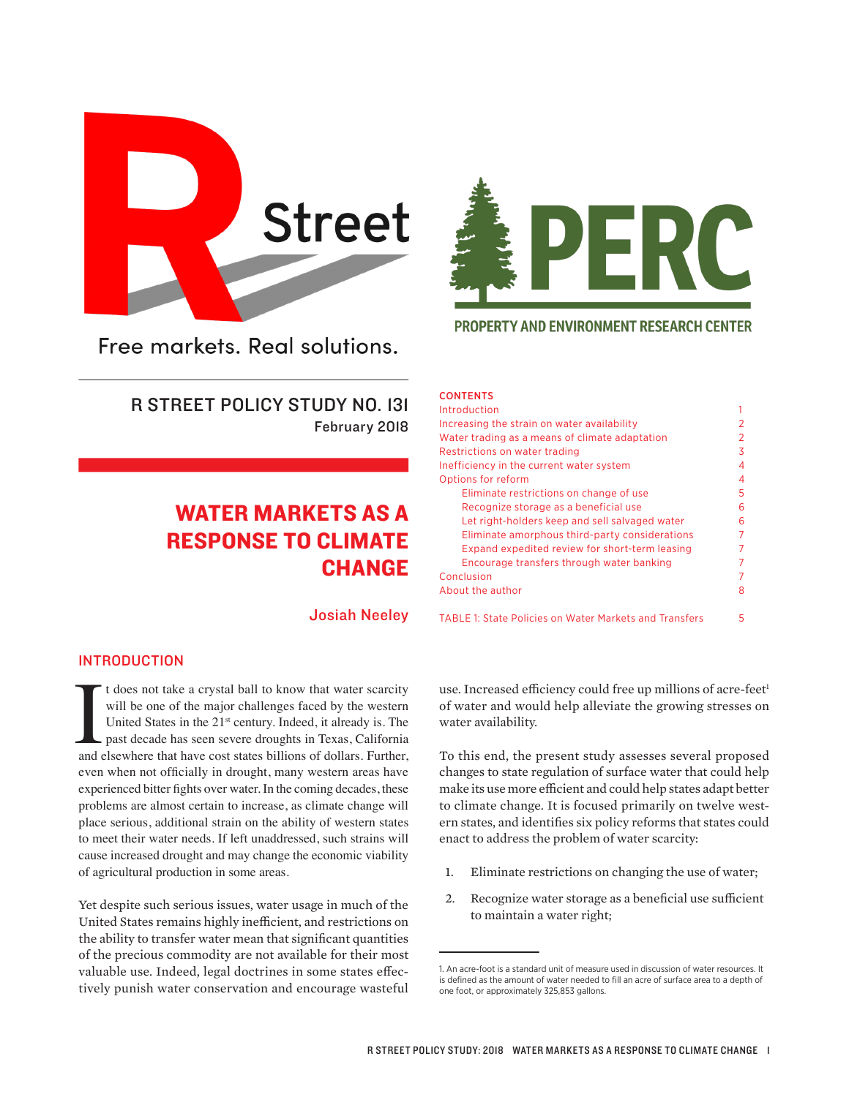

Free markets, Real solutions.

R STREET POLICY STUDY NO. 131 February 2018

# WATER MARKETS AS A RESPONSE TO CLIMATE CHANGE

Josiah Neeley



**PROPERTY AND ENVIRONMENT RESEARCH CENTER** 

| ____ |  | __ |
|------|--|----|

| Introduction                                                  |   |  |
|---------------------------------------------------------------|---|--|
| Increasing the strain on water availability                   |   |  |
| Water trading as a means of climate adaptation                | 2 |  |
| Restrictions on water trading                                 | 3 |  |
| Inefficiency in the current water system                      | 4 |  |
| Options for reform                                            | 4 |  |
| Eliminate restrictions on change of use                       | 5 |  |
| Recognize storage as a beneficial use                         | 6 |  |
| Let right-holders keep and sell salvaged water                | 6 |  |
| Eliminate amorphous third-party considerations                | 7 |  |
| Expand expedited review for short-term leasing                |   |  |
| Encourage transfers through water banking                     |   |  |
| Conclusion                                                    |   |  |
| About the author                                              | 8 |  |
| <b>TABLE 1: State Policies on Water Markets and Transfers</b> | 5 |  |

# INTRODUCTION

It does not take a crystal ball to know that water scarcity<br>will be one of the major challenges faced by the western<br>United States in the 21<sup>st</sup> century. Indeed, it already is. The<br>past decade has seen severe droughts in T t does not take a crystal ball to know that water scarcity will be one of the major challenges faced by the western United States in the 21<sup>st</sup> century. Indeed, it already is. The past decade has seen severe droughts in Texas, California even when not officially in drought, many western areas have experienced bitter fghts over water. In the coming decades, these problems are almost certain to increase, as climate change will place serious, additional strain on the ability of western states to meet their water needs. If left unaddressed, such strains will cause increased drought and may change the economic viability of agricultural production in some areas.

Yet despite such serious issues, water usage in much of the United States remains highly inefficient, and restrictions on the ability to transfer water mean that significant quantities of the precious commodity are not available for their most valuable use. Indeed, legal doctrines in some states efectively punish water conservation and encourage wasteful use. Increased efficiency could free up millions of acre-feet<sup>1</sup> of water and would help alleviate the growing stresses on water availability.

To this end, the present study assesses several proposed changes to state regulation of surface water that could help make its use more efficient and could help states adapt better to climate change. It is focused primarily on twelve western states, and identifies six policy reforms that states could enact to address the problem of water scarcity:

- 1. Eliminate restrictions on changing the use of water;
- 2. Recognize water storage as a beneficial use sufficient to maintain a water right;

<sup>1.</sup> An acre-foot is a standard unit of measure used in discussion of water resources. It is defined as the amount of water needed to fill an acre of surface area to a depth of one foot, or approximately 325,853 gallons.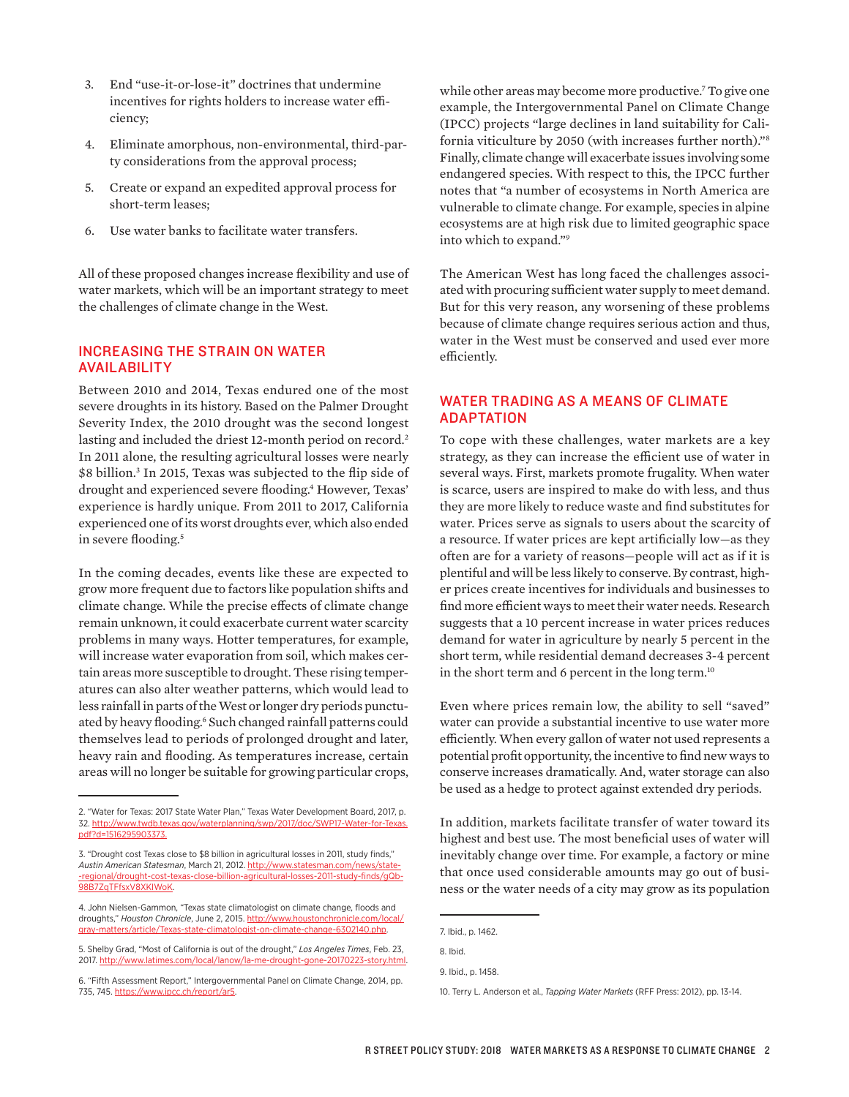- 3. End "use-it-or-lose-it" doctrines that undermine incentives for rights holders to increase water efficiency;
- 4. Eliminate amorphous, non-environmental, third-party considerations from the approval process;
- 5. Create or expand an expedited approval process for short-term leases;
- 6. Use water banks to facilitate water transfers.

All of these proposed changes increase flexibility and use of water markets, which will be an important strategy to meet the challenges of climate change in the West.

# INCREASING THE STRAIN ON WATER AVAILABILITY

Between 2010 and 2014, Texas endured one of the most severe droughts in its history. Based on the Palmer Drought Severity Index, the 2010 drought was the second longest lasting and included the driest 12-month period on record.<sup>2</sup> In 2011 alone, the resulting agricultural losses were nearly \$8 billion.3 In 2015, Texas was subjected to the flip side of drought and experienced severe flooding.4 However, Texas' experience is hardly unique. From 2011 to 2017, California experienced one of its worst droughts ever, which also ended in severe flooding.<sup>5</sup>

In the coming decades, events like these are expected to grow more frequent due to factors like population shifts and climate change. While the precise efects of climate change remain unknown, it could exacerbate current water scarcity problems in many ways. Hotter temperatures, for example, will increase water evaporation from soil, which makes certain areas more susceptible to drought. These rising temperatures can also alter weather patterns, which would lead to less rainfall in parts of the West or longer dry periods punctuated by heavy flooding.<sup>6</sup> Such changed rainfall patterns could themselves lead to periods of prolonged drought and later, heavy rain and flooding. As temperatures increase, certain areas will no longer be suitable for growing particular crops,

while other areas may become more productive.7 To give one example, the Intergovernmental Panel on Climate Change (IPCC) projects "large declines in land suitability for California viticulture by 2050 (with increases further north)."8 Finally, climate change will exacerbate issues involving some endangered species. With respect to this, the IPCC further notes that "a number of ecosystems in North America are vulnerable to climate change. For example, species in alpine ecosystems are at high risk due to limited geographic space into which to expand."9

The American West has long faced the challenges associated with procuring sufficient water supply to meet demand. But for this very reason, any worsening of these problems because of climate change requires serious action and thus, water in the West must be conserved and used ever more efficiently.

# WATER TRADING AS A MEANS OF CLIMATE ADAPTATION

To cope with these challenges, water markets are a key strategy, as they can increase the efficient use of water in several ways. First, markets promote frugality. When water is scarce, users are inspired to make do with less, and thus they are more likely to reduce waste and find substitutes for water. Prices serve as signals to users about the scarcity of a resource. If water prices are kept artificially low—as they often are for a variety of reasons—people will act as if it is plentiful and will be less likely to conserve. By contrast, higher prices create incentives for individuals and businesses to find more efficient ways to meet their water needs. Research suggests that a 10 percent increase in water prices reduces demand for water in agriculture by nearly 5 percent in the short term, while residential demand decreases 3-4 percent in the short term and 6 percent in the long term.<sup>10</sup>

Even where prices remain low, the ability to sell "saved" water can provide a substantial incentive to use water more efficiently. When every gallon of water not used represents a potential profit opportunity, the incentive to find new ways to conserve increases dramatically. And, water storage can also be used as a hedge to protect against extended dry periods.

In addition, markets facilitate transfer of water toward its highest and best use. The most beneficial uses of water will inevitably change over time. For example, a factory or mine that once used considerable amounts may go out of business or the water needs of a city may grow as its population

<sup>2. &</sup>quot;Water for Texas: 2017 State Water Plan," Texas Water Development Board, 2017, p. 32. http://www.twdb.texas.gov/waterplanning/swp/2017/doc/SWP17-Water-for-Texas. pdf?d=1516295903373.

<sup>3. &</sup>quot;Drought cost Texas close to \$8 billion in agricultural losses in 2011, study finds," *Austin American Statesman*, March 21, 2012. http://www.statesman.com/news/state- -regional/drought-cost-texas-close-billion-agricultural-losses-2011-study-finds/gQb-98B7ZqTFfsxV8XKIWoK.

<sup>4.</sup> John Nielsen-Gammon, "Texas state climatologist on climate change, floods and droughts," *Houston Chronicle*, June 2, 2015. http://www.houstonchronicle.com/local/ gray-matters/article/Texas-state-climatologist-on-climate-change-6302140.php.

<sup>5.</sup> Shelby Grad, "Most of California is out of the drought," *Los Angeles Times*, Feb. 23, 2017. http://www.latimes.com/local/lanow/la-me-drought-gone-20170223-story.html.

<sup>6. &</sup>quot;Fifth Assessment Report," Intergovernmental Panel on Climate Change, 2014, pp. 735, 745. https://www.ipcc.ch/report/ar5.

<sup>7.</sup> Ibid., p. 1462.

<sup>8.</sup> Ibid.

<sup>9.</sup> Ibid., p. 1458.

<sup>10.</sup> Terry L. Anderson et al., *Tapping Water Markets* (RFF Press: 2012), pp. 13-14.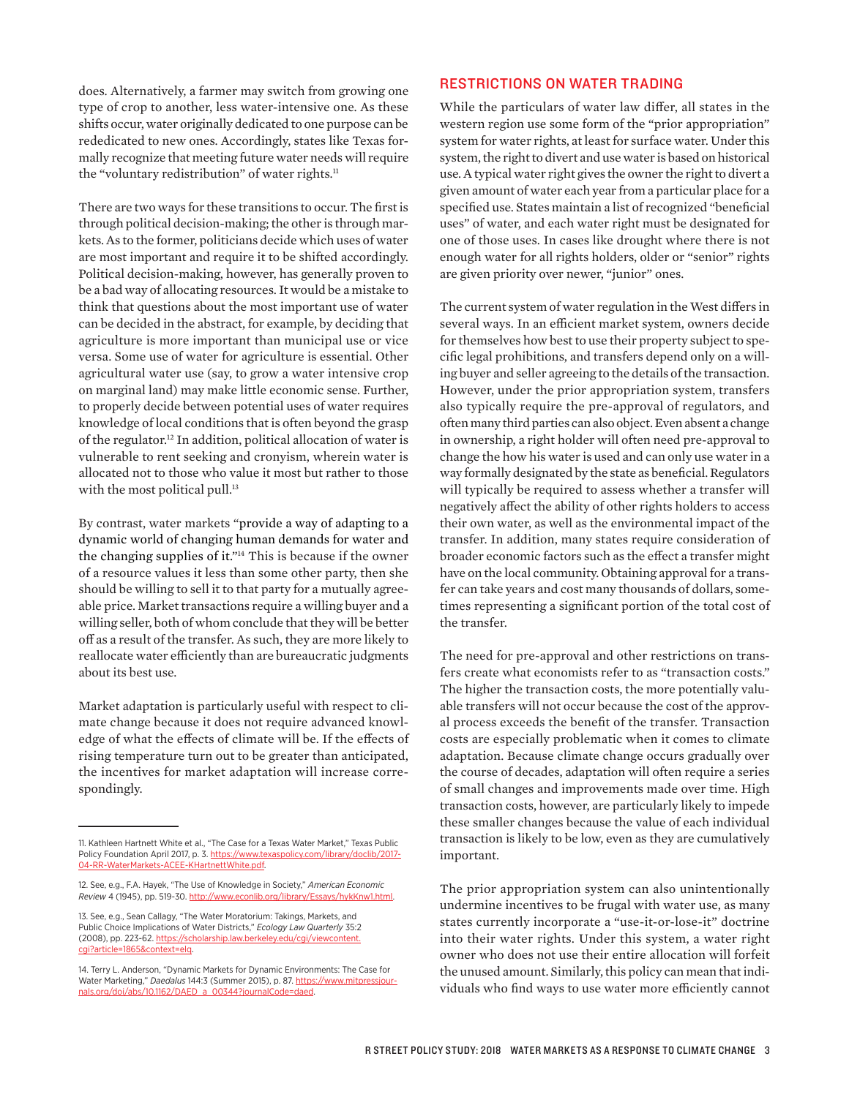does. Alternatively, a farmer may switch from growing one type of crop to another, less water-intensive one. As these shifts occur, water originally dedicated to one purpose can be rededicated to new ones. Accordingly, states like Texas formally recognize that meeting future water needs will require the "voluntary redistribution" of water rights.<sup>11</sup>

There are two ways for these transitions to occur. The first is through political decision-making; the other is through markets. As to the former, politicians decide which uses of water are most important and require it to be shifted accordingly. Political decision-making, however, has generally proven to be a bad way of allocating resources. It would be a mistake to think that questions about the most important use of water can be decided in the abstract, for example, by deciding that agriculture is more important than municipal use or vice versa. Some use of water for agriculture is essential. Other agricultural water use (say, to grow a water intensive crop on marginal land) may make little economic sense. Further, to properly decide between potential uses of water requires knowledge of local conditions that is often beyond the grasp of the regulator.12 In addition, political allocation of water is vulnerable to rent seeking and cronyism, wherein water is allocated not to those who value it most but rather to those with the most political pull.<sup>13</sup>

By contrast, water markets "provide a way of adapting to a dynamic world of changing human demands for water and the changing supplies of it."14 This is because if the owner of a resource values it less than some other party, then she should be willing to sell it to that party for a mutually agreeable price. Market transactions require a willing buyer and a willing seller, both of whom conclude that they will be better of as a result of the transfer. As such, they are more likely to reallocate water efficiently than are bureaucratic judgments about its best use.

Market adaptation is particularly useful with respect to climate change because it does not require advanced knowledge of what the efects of climate will be. If the efects of rising temperature turn out to be greater than anticipated, the incentives for market adaptation will increase correspondingly.

# RESTRICTIONS ON WATER TRADING

While the particulars of water law difer, all states in the western region use some form of the "prior appropriation" system for water rights, at least for surface water. Under this system, the right to divert and use water is based on historical use. A typical water right gives the owner the right to divert a given amount of water each year from a particular place for a specified use. States maintain a list of recognized "beneficial uses" of water, and each water right must be designated for one of those uses. In cases like drought where there is not enough water for all rights holders, older or "senior" rights are given priority over newer, "junior" ones.

The current system of water regulation in the West difers in several ways. In an efficient market system, owners decide for themselves how best to use their property subject to specific legal prohibitions, and transfers depend only on a willing buyer and seller agreeing to the details of the transaction. However, under the prior appropriation system, transfers also typically require the pre-approval of regulators, and often many third parties can also object. Even absent a change in ownership, a right holder will often need pre-approval to change the how his water is used and can only use water in a way formally designated by the state as beneficial. Regulators will typically be required to assess whether a transfer will negatively afect the ability of other rights holders to access their own water, as well as the environmental impact of the transfer. In addition, many states require consideration of broader economic factors such as the efect a transfer might have on the local community. Obtaining approval for a transfer can take years and cost many thousands of dollars, sometimes representing a significant portion of the total cost of the transfer.

The need for pre-approval and other restrictions on transfers create what economists refer to as "transaction costs." The higher the transaction costs, the more potentially valuable transfers will not occur because the cost of the approval process exceeds the benefit of the transfer. Transaction costs are especially problematic when it comes to climate adaptation. Because climate change occurs gradually over the course of decades, adaptation will often require a series of small changes and improvements made over time. High transaction costs, however, are particularly likely to impede these smaller changes because the value of each individual transaction is likely to be low, even as they are cumulatively important.

The prior appropriation system can also unintentionally undermine incentives to be frugal with water use, as many states currently incorporate a "use-it-or-lose-it" doctrine into their water rights. Under this system, a water right owner who does not use their entire allocation will forfeit the unused amount. Similarly, this policy can mean that individuals who find ways to use water more efficiently cannot

<sup>11.</sup> Kathleen Hartnett White et al., "The Case for a Texas Water Market," Texas Public Policy Foundation April 2017, p. 3. https://www.texaspolicy.com/library/doclib/2017-04-RR-WaterMarkets-ACEE-KHartnettWhite.pdf.

<sup>12.</sup> See, e.g., F.A. Hayek, "The Use of Knowledge in Society," *American Economic Review* 4 (1945), pp. 519-30. http://www.econlib.org/library/Essays/hykKnw1.html.

<sup>13.</sup> See, e.g., Sean Callagy, "The Water Moratorium: Takings, Markets, and Public Choice Implications of Water Districts," *Ecology Law Quarterly* 35:2 (2008), pp. 223-62. https://scholarship.law.berkeley.edu/cgi/viewcontent. -1865&context=ela

<sup>14.</sup> Terry L. Anderson, "Dynamic Markets for Dynamic Environments: The Case for Water Marketing," *Daedalus* 144:3 (Summer 2015), p. 87. https://www.mitpressjournals.org/doi/abs/10.1162/DAED\_a\_00344?journalCode=daed.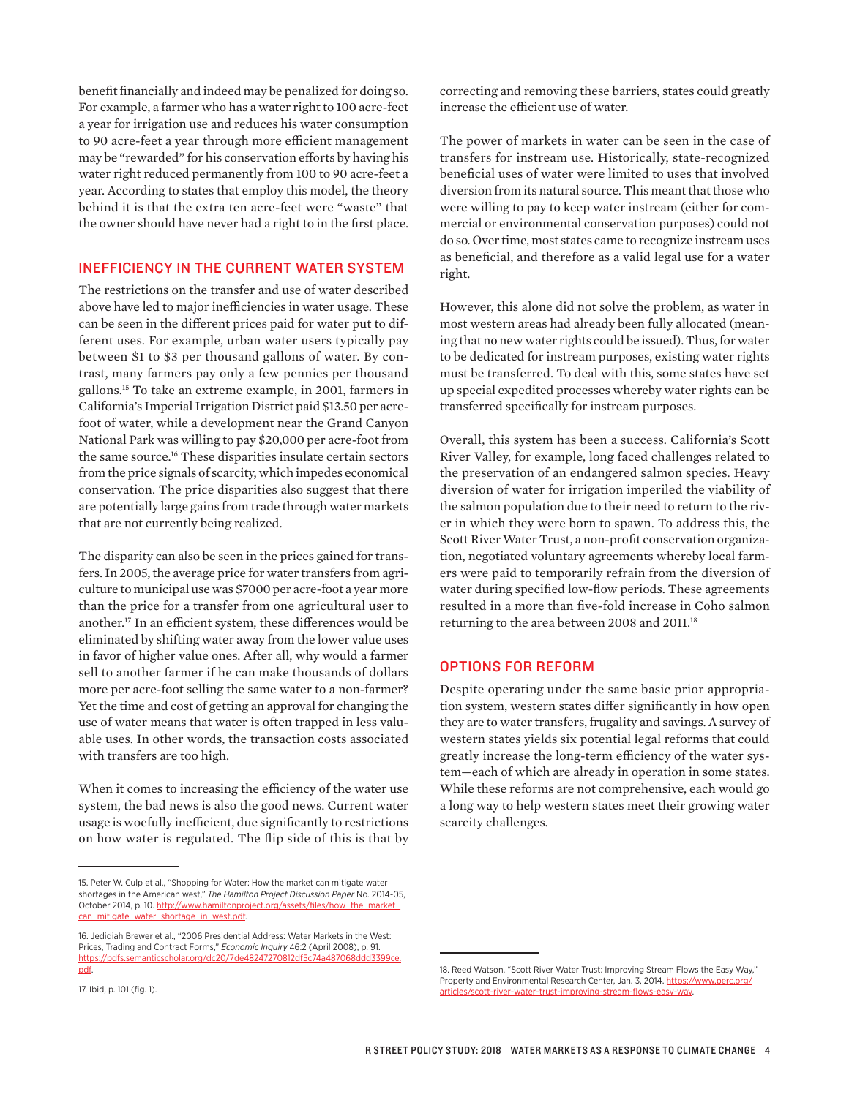benefit financially and indeed may be penalized for doing so. For example, a farmer who has a water right to 100 acre-feet a year for irrigation use and reduces his water consumption to 90 acre-feet a year through more efficient management may be "rewarded" for his conservation efforts by having his water right reduced permanently from 100 to 90 acre-feet a year. According to states that employ this model, the theory behind it is that the extra ten acre-feet were "waste" that the owner should have never had a right to in the first place.

# INEFFICIENCY IN THE CURRENT WATER SYSTEM

The restrictions on the transfer and use of water described above have led to major inefficiencies in water usage. These can be seen in the diferent prices paid for water put to different uses. For example, urban water users typically pay between \$1 to \$3 per thousand gallons of water. By contrast, many farmers pay only a few pennies per thousand gallons.15 To take an extreme example, in 2001, farmers in California's Imperial Irrigation District paid \$13.50 per acrefoot of water, while a development near the Grand Canyon National Park was willing to pay \$20,000 per acre-foot from the same source.<sup>16</sup> These disparities insulate certain sectors from the price signals of scarcity, which impedes economical conservation. The price disparities also suggest that there are potentially large gains from trade through water markets that are not currently being realized.

The disparity can also be seen in the prices gained for transfers. In 2005, the average price for water transfers from agriculture to municipal use was \$7000 per acre-foot a year more than the price for a transfer from one agricultural user to another.<sup>17</sup> In an efficient system, these differences would be eliminated by shifting water away from the lower value uses in favor of higher value ones. After all, why would a farmer sell to another farmer if he can make thousands of dollars more per acre-foot selling the same water to a non-farmer? Yet the time and cost of getting an approval for changing the use of water means that water is often trapped in less valuable uses. In other words, the transaction costs associated with transfers are too high.

When it comes to increasing the efficiency of the water use system, the bad news is also the good news. Current water usage is woefully inefficient, due significantly to restrictions on how water is regulated. The flip side of this is that by

```
17. Ibid, p. 101 (fig. 1).
```
correcting and removing these barriers, states could greatly increase the efficient use of water.

The power of markets in water can be seen in the case of transfers for instream use. Historically, state-recognized beneficial uses of water were limited to uses that involved diversion from its natural source. This meant that those who were willing to pay to keep water instream (either for commercial or environmental conservation purposes) could not do so. Over time, most states came to recognize instream uses as beneficial, and therefore as a valid legal use for a water right.

However, this alone did not solve the problem, as water in most western areas had already been fully allocated (meaning that no new water rights could be issued). Thus, for water to be dedicated for instream purposes, existing water rights must be transferred. To deal with this, some states have set up special expedited processes whereby water rights can be transferred specifically for instream purposes.

Overall, this system has been a success. California's Scott River Valley, for example, long faced challenges related to the preservation of an endangered salmon species. Heavy diversion of water for irrigation imperiled the viability of the salmon population due to their need to return to the river in which they were born to spawn. To address this, the Scott River Water Trust, a non-profit conservation organization, negotiated voluntary agreements whereby local farmers were paid to temporarily refrain from the diversion of water during specified low-flow periods. These agreements resulted in a more than five-fold increase in Coho salmon returning to the area between 2008 and 2011.<sup>18</sup>

## OPTIONS FOR REFORM

Despite operating under the same basic prior appropriation system, western states difer significantly in how open they are to water transfers, frugality and savings. A survey of western states yields six potential legal reforms that could greatly increase the long-term efficiency of the water system—each of which are already in operation in some states. While these reforms are not comprehensive, each would go a long way to help western states meet their growing water scarcity challenges.

<sup>15.</sup> Peter W. Culp et al., "Shopping for Water: How the market can mitigate water shortages in the American west," *The Hamilton Project Discussion Paper* No. 2014-05, October 2014, p. 10. http://www.hamiltonproject.org/assets/files/how\_the\_market\_ can\_mitigate\_water\_shortage\_in\_west.pdf.

<sup>16.</sup> Jedidiah Brewer et al., "2006 Presidential Address: Water Markets in the West: Prices, Trading and Contract Forms," *Economic Inquiry* 46:2 (April 2008), p. 91. https://pdfs.semanticscholar.org/dc20/7de48247270812df5c74a487068ddd3399ce. pdf.

<sup>18.</sup> Reed Watson, "Scott River Water Trust: Improving Stream Flows the Easy Way," Property and Environmental Research Center, Jan. 3, 2014. https://www.perc.org/ articles/scott-river-water-trust-improving-stream-flows-easy-way.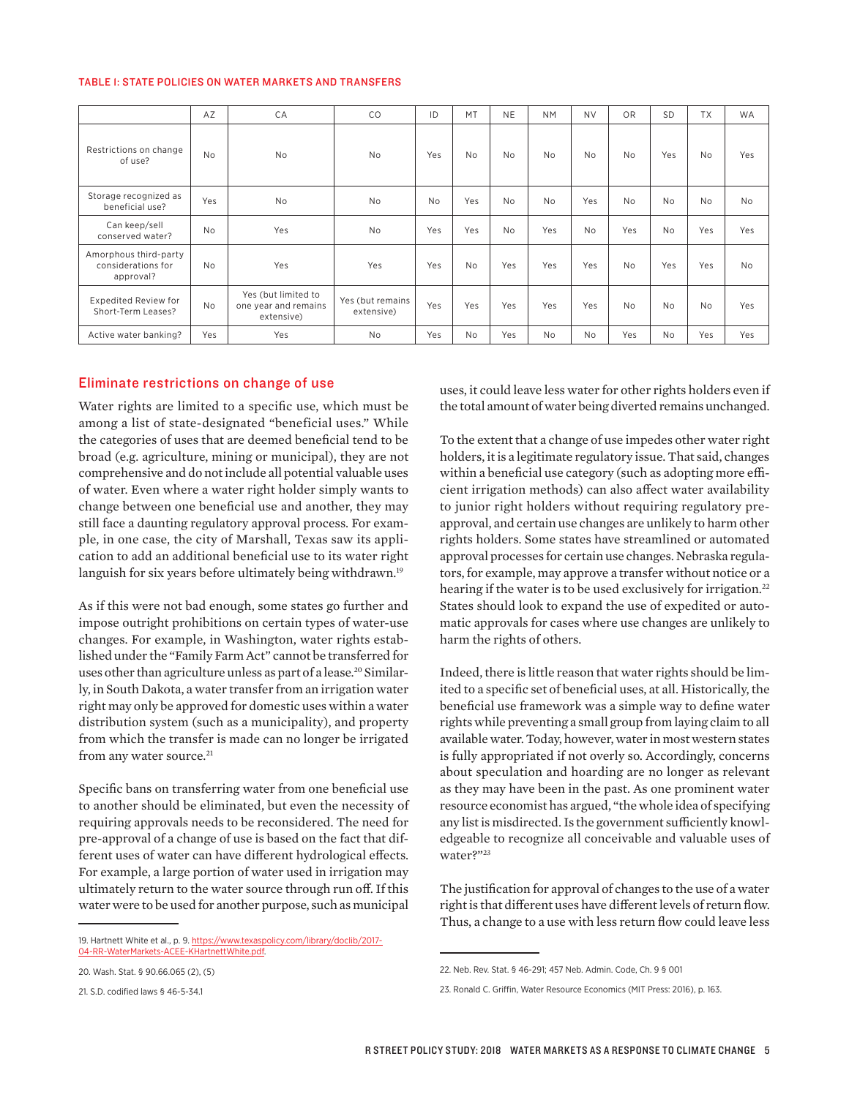#### TABLE 1: STATE POLICIES ON WATER MARKETS AND TRANSFERS

|                                                          | AZ        | CA                                                        | CO                             | ID        | MT             | <b>NE</b> | <b>NM</b> | <b>NV</b> | OR        | <b>SD</b>      | <b>TX</b> | <b>WA</b> |
|----------------------------------------------------------|-----------|-----------------------------------------------------------|--------------------------------|-----------|----------------|-----------|-----------|-----------|-----------|----------------|-----------|-----------|
| Restrictions on change<br>of use?                        | <b>No</b> | <b>No</b>                                                 | <b>No</b>                      | Yes       | <b>No</b>      | <b>No</b> | <b>No</b> | <b>No</b> | <b>No</b> | Yes            | <b>No</b> | Yes       |
| Storage recognized as<br>beneficial use?                 | Yes       | <b>No</b>                                                 | <b>No</b>                      | <b>No</b> | Yes            | <b>No</b> | <b>No</b> | Yes       | No        | <b>No</b>      | <b>No</b> | <b>No</b> |
| Can keep/sell<br>conserved water?                        | <b>No</b> | Yes                                                       | <b>No</b>                      | Yes       | Yes            | <b>No</b> | Yes       | <b>No</b> | Yes       | <b>No</b>      | Yes       | Yes       |
| Amorphous third-party<br>considerations for<br>approval? | <b>No</b> | Yes                                                       | Yes                            | Yes       | <b>No</b>      | Yes       | Yes       | Yes       | <b>No</b> | Yes            | Yes       | <b>No</b> |
| <b>Expedited Review for</b><br>Short-Term Leases?        | <b>No</b> | Yes (but limited to<br>one year and remains<br>extensive) | Yes (but remains<br>extensive) | Yes       | Yes            | Yes       | Yes       | Yes       | No        | N <sub>0</sub> | <b>No</b> | Yes       |
| Active water banking?                                    | Yes       | Yes                                                       | <b>No</b>                      | Yes       | N <sub>o</sub> | Yes       | <b>No</b> | <b>No</b> | Yes       | <b>No</b>      | Yes       | Yes       |

#### Eliminate restrictions on change of use

Water rights are limited to a specific use, which must be among a list of state-designated "beneficial uses." While the categories of uses that are deemed beneficial tend to be broad (e.g. agriculture, mining or municipal), they are not comprehensive and do not include all potential valuable uses of water. Even where a water right holder simply wants to change between one beneficial use and another, they may still face a daunting regulatory approval process. For example, in one case, the city of Marshall, Texas saw its application to add an additional beneficial use to its water right languish for six years before ultimately being withdrawn.<sup>19</sup>

As if this were not bad enough, some states go further and impose outright prohibitions on certain types of water-use changes. For example, in Washington, water rights established under the "Family Farm Act" cannot be transferred for uses other than agriculture unless as part of a lease.<sup>20</sup> Similarly, in South Dakota, a water transfer from an irrigation water right may only be approved for domestic uses within a water distribution system (such as a municipality), and property from which the transfer is made can no longer be irrigated from any water source.<sup>21</sup>

Specific bans on transferring water from one beneficial use to another should be eliminated, but even the necessity of requiring approvals needs to be reconsidered. The need for pre-approval of a change of use is based on the fact that different uses of water can have diferent hydrological efects. For example, a large portion of water used in irrigation may ultimately return to the water source through run off. If this water were to be used for another purpose, such as municipal

uses, it could leave less water for other rights holders even if the total amount of water being diverted remains unchanged.

To the extent that a change of use impedes other water right holders, it is a legitimate regulatory issue. That said, changes within a beneficial use category (such as adopting more efficient irrigation methods) can also afect water availability to junior right holders without requiring regulatory preapproval, and certain use changes are unlikely to harm other rights holders. Some states have streamlined or automated approval processes for certain use changes. Nebraska regulators, for example, may approve a transfer without notice or a hearing if the water is to be used exclusively for irrigation.<sup>22</sup> States should look to expand the use of expedited or automatic approvals for cases where use changes are unlikely to harm the rights of others.

Indeed, there is little reason that water rights should be limited to a specific set of beneficial uses, at all. Historically, the beneficial use framework was a simple way to define water rights while preventing a small group from laying claim to all available water. Today, however, water in most western states is fully appropriated if not overly so. Accordingly, concerns about speculation and hoarding are no longer as relevant as they may have been in the past. As one prominent water resource economist has argued, "the whole idea of specifying any list is misdirected. Is the government sufficiently knowledgeable to recognize all conceivable and valuable uses of water?"23

The justification for approval of changes to the use of a water right is that diferent uses have diferent levels of return flow. Thus, a change to a use with less return flow could leave less

<sup>19.</sup> Hartnett White et al., p. 9. https://www.texaspolicy.com/library/doclib/2017- 04-RR-WaterMarkets-ACEE-KHartnettWhite.pdf.

<sup>20.</sup> Wash. Stat. § 90.66.065 (2), (5)

<sup>21.</sup> S.D. codified laws § 46-5-34.1

<sup>22.</sup> Neb. Rev. Stat. § 46-291; 457 Neb. Admin. Code, Ch. 9 § 001

<sup>23.</sup> Ronald C. Griffin, Water Resource Economics (MIT Press: 2016), p. 163.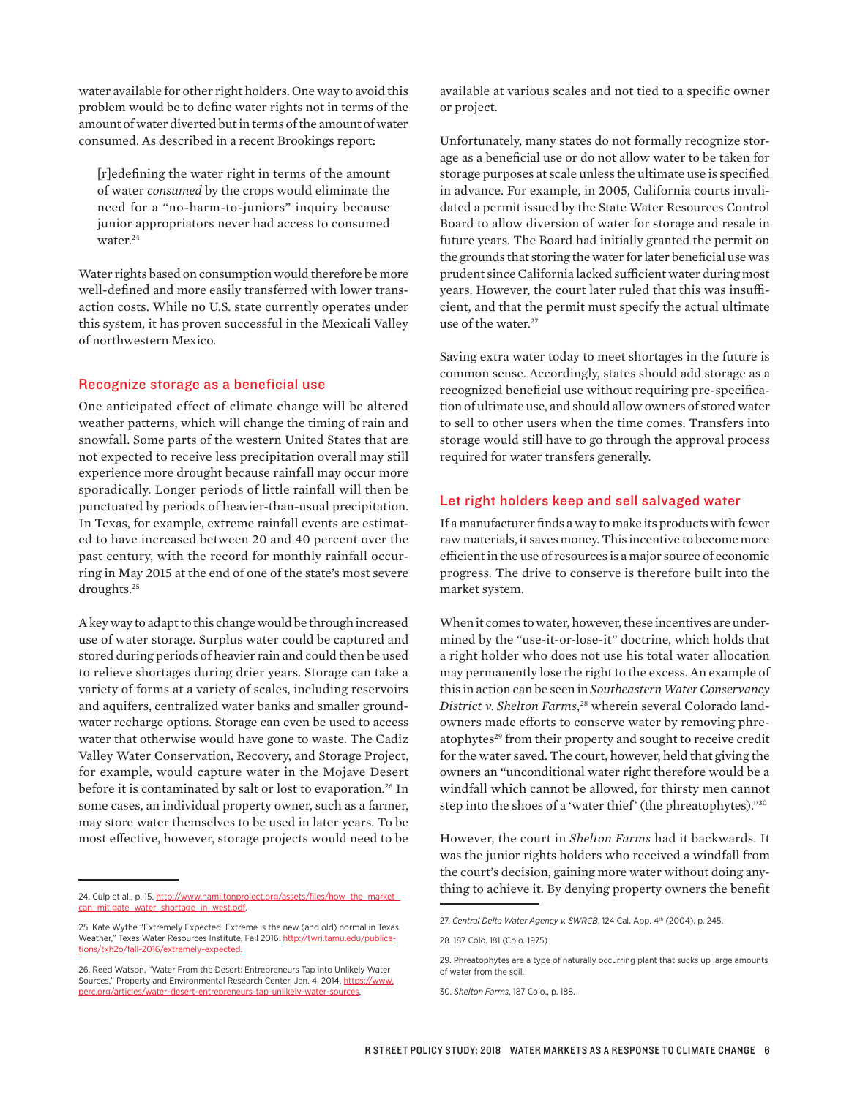water available for other right holders. One way to avoid this problem would be to define water rights not in terms of the amount of water diverted but in terms of the amount of water consumed. As described in a recent Brookings report:

[r]edefining the water right in terms of the amount of water *consumed* by the crops would eliminate the need for a "no-harm-to-juniors" inquiry because junior appropriators never had access to consumed water.<sup>24</sup>

Water rights based on consumption would therefore be more well-defined and more easily transferred with lower transaction costs. While no U.S. state currently operates under this system, it has proven successful in the Mexicali Valley of northwestern Mexico.

## Recognize storage as a beneficial use

One anticipated effect of climate change will be altered weather patterns, which will change the timing of rain and snowfall. Some parts of the western United States that are not expected to receive less precipitation overall may still experience more drought because rainfall may occur more sporadically. Longer periods of little rainfall will then be punctuated by periods of heavier-than-usual precipitation. In Texas, for example, extreme rainfall events are estimated to have increased between 20 and 40 percent over the past century, with the record for monthly rainfall occurring in May 2015 at the end of one of the state's most severe droughts.25

A key way to adapt to this change would be through increased use of water storage. Surplus water could be captured and stored during periods of heavier rain and could then be used to relieve shortages during drier years. Storage can take a variety of forms at a variety of scales, including reservoirs and aquifers, centralized water banks and smaller groundwater recharge options. Storage can even be used to access water that otherwise would have gone to waste. The Cadiz Valley Water Conservation, Recovery, and Storage Project, for example, would capture water in the Mojave Desert before it is contaminated by salt or lost to evaporation.<sup>26</sup> In some cases, an individual property owner, such as a farmer, may store water themselves to be used in later years. To be most efective, however, storage projects would need to be

available at various scales and not tied to a specific owner or project.

Unfortunately, many states do not formally recognize storage as a beneficial use or do not allow water to be taken for storage purposes at scale unless the ultimate use is specified in advance. For example, in 2005, California courts invalidated a permit issued by the State Water Resources Control Board to allow diversion of water for storage and resale in future years. The Board had initially granted the permit on the grounds that storing the water for later beneficial use was prudent since California lacked sufficient water during most years. However, the court later ruled that this was insufficient, and that the permit must specify the actual ultimate use of the water.<sup>27</sup>

Saving extra water today to meet shortages in the future is common sense. Accordingly, states should add storage as a recognized beneficial use without requiring pre-specification of ultimate use, and should allow owners of stored water to sell to other users when the time comes. Transfers into storage would still have to go through the approval process required for water transfers generally.

# Let right holders keep and sell salvaged water

If a manufacturer finds a way to make its products with fewer raw materials, it saves money. This incentive to become more efficient in the use of resources is a major source of economic progress. The drive to conserve is therefore built into the market system.

When it comes to water, however, these incentives are undermined by the "use-it-or-lose-it" doctrine, which holds that a right holder who does not use his total water allocation may permanently lose the right to the excess. An example of this in action can be seen in *Southeastern Water Conservancy District v. Shelton Farms*, 28 wherein several Colorado landowners made eforts to conserve water by removing phreatophytes<sup>29</sup> from their property and sought to receive credit for the water saved. The court, however, held that giving the owners an "unconditional water right therefore would be a windfall which cannot be allowed, for thirsty men cannot step into the shoes of a 'water thief' (the phreatophytes)."30

However, the court in *Shelton Farms* had it backwards. It was the junior rights holders who received a windfall from the court's decision, gaining more water without doing anything to achieve it. By denying property owners the benefit

<sup>24.</sup> Culp et al., p. 15. http://www.hamiltonproject.org/assets/files/how\_the\_market\_ can\_mitigate\_water\_shortage\_in\_west.pdf.

<sup>25.</sup> Kate Wythe "Extremely Expected: Extreme is the new (and old) normal in Texas Weather," Texas Water Resources Institute, Fall 2016. http://twri.tamu.edu/publications/txh2o/fall-2016/extremely-expected.

<sup>26.</sup> Reed Watson, "Water From the Desert: Entrepreneurs Tap into Unlikely Water Sources," Property and Environmental Research Center, Jan. 4, 2014. https://www. perc.org/articles/water-desert-entrepreneurs-tap-unlikely-water-sources.

<sup>27.</sup> Central Delta Water Agency v. SWRCB, 124 Cal. App. 4<sup>th</sup> (2004), p. 245.

<sup>28. 187</sup> Colo. 181 (Colo. 1975)

<sup>29.</sup> Phreatophytes are a type of naturally occurring plant that sucks up large amounts of water from the soil.

<sup>30.</sup> *Shelton Farms*, 187 Colo., p. 188.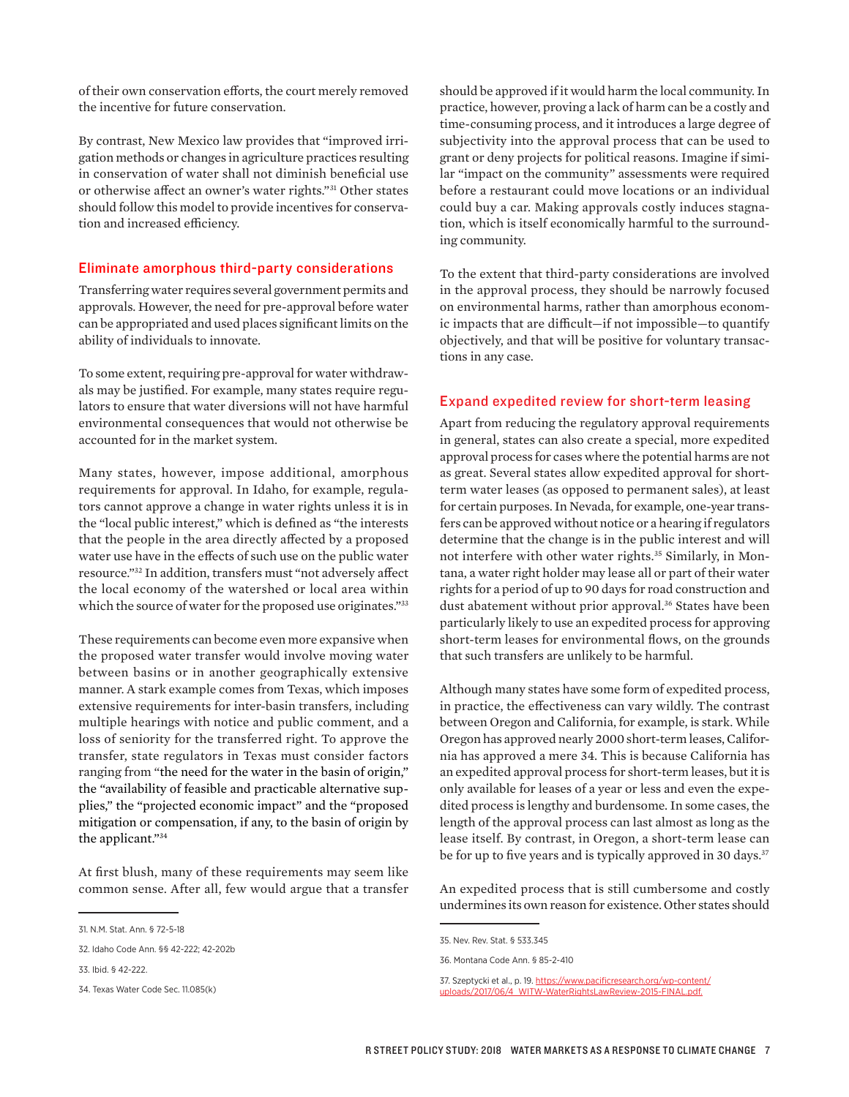of their own conservation efforts, the court merely removed the incentive for future conservation.

By contrast, New Mexico law provides that "improved irrigation methods or changes in agriculture practices resulting in conservation of water shall not diminish beneficial use or otherwise afect an owner's water rights."31 Other states should follow this model to provide incentives for conservation and increased efficiency.

## Eliminate amorphous third-party considerations

Transferring water requires several government permits and approvals. However, the need for pre-approval before water can be appropriated and used places significant limits on the ability of individuals to innovate.

To some extent, requiring pre-approval for water withdrawals may be justified. For example, many states require regulators to ensure that water diversions will not have harmful environmental consequences that would not otherwise be accounted for in the market system.

Many states, however, impose additional, amorphous requirements for approval. In Idaho, for example, regulators cannot approve a change in water rights unless it is in the "local public interest," which is defined as "the interests that the people in the area directly afected by a proposed water use have in the efects of such use on the public water resource."32 In addition, transfers must "not adversely afect the local economy of the watershed or local area within which the source of water for the proposed use originates."33

These requirements can become even more expansive when the proposed water transfer would involve moving water between basins or in another geographically extensive manner. A stark example comes from Texas, which imposes extensive requirements for inter-basin transfers, including multiple hearings with notice and public comment, and a loss of seniority for the transferred right. To approve the transfer, state regulators in Texas must consider factors ranging from "the need for the water in the basin of origin," the "availability of feasible and practicable alternative supplies," the "projected economic impact" and the "proposed mitigation or compensation, if any, to the basin of origin by the applicant."34

At first blush, many of these requirements may seem like common sense. After all, few would argue that a transfer

should be approved if it would harm the local community. In practice, however, proving a lack of harm can be a costly and time-consuming process, and it introduces a large degree of subjectivity into the approval process that can be used to grant or deny projects for political reasons. Imagine if similar "impact on the community" assessments were required before a restaurant could move locations or an individual could buy a car. Making approvals costly induces stagnation, which is itself economically harmful to the surrounding community.

To the extent that third-party considerations are involved in the approval process, they should be narrowly focused on environmental harms, rather than amorphous economic impacts that are difficult-if not impossible-to quantify objectively, and that will be positive for voluntary transactions in any case.

### Expand expedited review for short-term leasing

Apart from reducing the regulatory approval requirements in general, states can also create a special, more expedited approval process for cases where the potential harms are not as great. Several states allow expedited approval for shortterm water leases (as opposed to permanent sales), at least for certain purposes. In Nevada, for example, one-year transfers can be approved without notice or a hearing if regulators determine that the change is in the public interest and will not interfere with other water rights.<sup>35</sup> Similarly, in Montana, a water right holder may lease all or part of their water rights for a period of up to 90 days for road construction and dust abatement without prior approval.<sup>36</sup> States have been particularly likely to use an expedited process for approving short-term leases for environmental flows, on the grounds that such transfers are unlikely to be harmful.

Although many states have some form of expedited process, in practice, the efectiveness can vary wildly. The contrast between Oregon and California, for example, is stark. While Oregon has approved nearly 2000 short-term leases, California has approved a mere 34. This is because California has an expedited approval process for short-term leases, but it is only available for leases of a year or less and even the expedited process is lengthy and burdensome. In some cases, the length of the approval process can last almost as long as the lease itself. By contrast, in Oregon, a short-term lease can be for up to five years and is typically approved in 30 days.<sup>37</sup>

An expedited process that is still cumbersome and costly undermines its own reason for existence. Other states should

<sup>31.</sup> N.M. Stat. Ann. § 72-5-18

<sup>32.</sup> Idaho Code Ann. §§ 42-222; 42-202b

<sup>33.</sup> Ibid. § 42-222.

<sup>34.</sup> Texas Water Code Sec. 11.085(k)

<sup>35.</sup> Nev. Rev. Stat. § 533.345

<sup>36.</sup> Montana Code Ann. § 85-2-410

<sup>37.</sup> Szeptycki et al., p. 19. https://www.pacificresearch.org/wp-content/ uploads/2017/06/4\_WITW-WaterRightsLawReview-2015-FINAL.pdf.